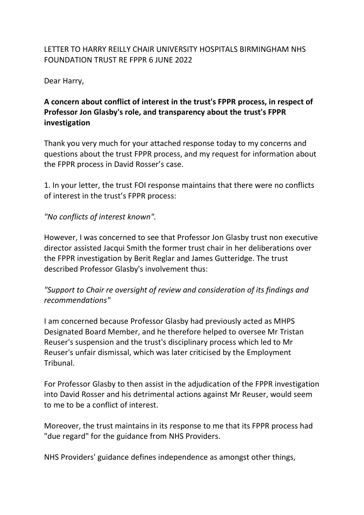#### LETTER TO HARRY REILLY CHAIR UNIVERSITY HOSPITALS BIRMINGHAM NHS FOUNDATION TRUST RE FPPR 6 JUNE 2022

Dear Harry,

# **A concern about conflict of interest in the trust's FPPR process, in respect of Professor Jon Glasby's role, and transparency about the trust's FPPR investigation**

Thank you very much for your attached response today to my concerns and questions about the trust FPPR process, and my request for information about the FPPR process in David Rosser's case.

1. In your letter, the trust FOI response maintains that there were no conflicts of interest in the trust's FPPR process:

#### *"No conflicts of interest known".*

However, I was concerned to see that Professor Jon Glasby trust non executive director assisted Jacqui Smith the former trust chair in her deliberations over the FPPR investigation by Berit Reglar and James Gutteridge. The trust described Professor Glasby's involvement thus:

## *"Support to Chair re oversight of review and consideration of its findings and recommendations"*

I am concerned because Professor Glasby had previously acted as MHPS Designated Board Member, and he therefore helped to oversee Mr Tristan Reuser's suspension and the trust's disciplinary process which led to Mr Reuser's unfair dismissal, which was later criticised by the Employment Tribunal.

For Professor Glasby to then assist in the adjudication of the FPPR investigation into David Rosser and his detrimental actions against Mr Reuser, would seem to me to be a conflict of interest.

Moreover, the trust maintains in its response to me that its FPPR process had "due regard" for the guidance from NHS Providers.

NHS Providers' guidance defines independence as amongst other things,